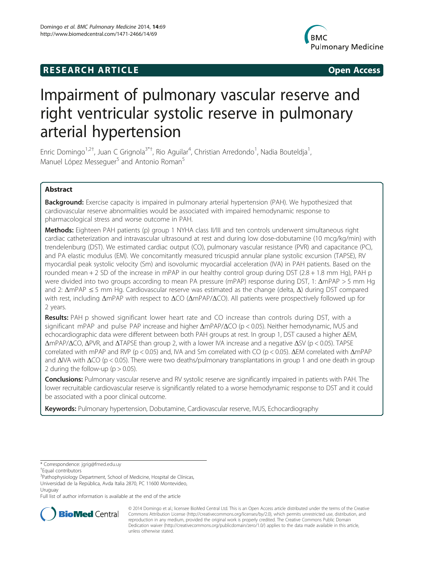# **RESEARCH ARTICLE Example 2018 12:00 Open Access**



# Impairment of pulmonary vascular reserve and right ventricular systolic reserve in pulmonary arterial hypertension

Enric Domingo<sup>1,2†</sup>, Juan C Grignola<sup>3\*†</sup>, Rio Aguilar<sup>4</sup>, Christian Arredondo<sup>1</sup>, Nadia Bouteldja<sup>1</sup> , Manuel López Messeguer<sup>5</sup> and Antonio Roman<sup>5</sup>

# Abstract

Background: Exercise capacity is impaired in pulmonary arterial hypertension (PAH). We hypothesized that cardiovascular reserve abnormalities would be associated with impaired hemodynamic response to pharmacological stress and worse outcome in PAH.

Methods: Eighteen PAH patients (p) group 1 NYHA class II/III and ten controls underwent simultaneous right cardiac catheterization and intravascular ultrasound at rest and during low dose-dobutamine (10 mcg/kg/min) with trendelenburg (DST). We estimated cardiac output (CO), pulmonary vascular resistance (PVR) and capacitance (PC), and PA elastic modulus (EM). We concomitantly measured tricuspid annular plane systolic excursion (TAPSE), RV myocardial peak systolic velocity (Sm) and isovolumic myocardial acceleration (IVA) in PAH patients. Based on the rounded mean + 2 SD of the increase in mPAP in our healthy control group during DST (2.8 + 1.8 mm Hg), PAH p were divided into two groups according to mean PA pressure (mPAP) response during DST, 1: ΔmPAP > 5 mm Hg and 2: ΔmPAP ≤ 5 mm Hg. Cardiovascular reserve was estimated as the change (delta, Δ) during DST compared with rest, including ΔmPAP with respect to ΔCO (ΔmPAP/ΔCO). All patients were prospectively followed up for 2 years.

**Results:** PAH p showed significant lower heart rate and CO increase than controls during DST, with a significant mPAP and pulse PAP increase and higher ΔmPAP/ΔCO (p < 0.05). Neither hemodynamic, IVUS and echocardiographic data were different between both PAH groups at rest. In group 1, DST caused a higher ΔEM, ΔmPAP/ΔCO, ΔPVR, and ΔTAPSE than group 2, with a lower IVA increase and a negative ΔSV (p < 0.05). TAPSE correlated with mPAP and RVP (p < 0.05) and, IVA and Sm correlated with CO (p < 0.05). ΔEM correlated with ΔmPAP and ΔIVA with ΔCO (p < 0.05). There were two deaths/pulmonary transplantations in group 1 and one death in group 2 during the follow-up ( $p > 0.05$ ).

Conclusions: Pulmonary vascular reserve and RV systolic reserve are significantly impaired in patients with PAH. The lower recruitable cardiovascular reserve is significantly related to a worse hemodynamic response to DST and it could be associated with a poor clinical outcome.

Keywords: Pulmonary hypertension, Dobutamine, Cardiovascular reserve, IVUS, Echocardiography

Equal contributors

Full list of author information is available at the end of the article



© 2014 Domingo et al.; licensee BioMed Central Ltd. This is an Open Access article distributed under the terms of the Creative Commons Attribution License [\(http://creativecommons.org/licenses/by/2.0\)](http://creativecommons.org/licenses/by/2.0), which permits unrestricted use, distribution, and reproduction in any medium, provided the original work is properly credited. The Creative Commons Public Domain Dedication waiver [\(http://creativecommons.org/publicdomain/zero/1.0/](http://creativecommons.org/publicdomain/zero/1.0/)) applies to the data made available in this article, unless otherwise stated.

<sup>\*</sup> Correspondence: [jgrig@fmed.edu.uy](mailto:jgrig@fmed.edu.uy) †

<sup>&</sup>lt;sup>3</sup>Pathophysiology Department, School of Medicine, Hospital de Clínicas, Universidad de la República, Avda Italia 2870, PC 11600 Montevideo, Uruguay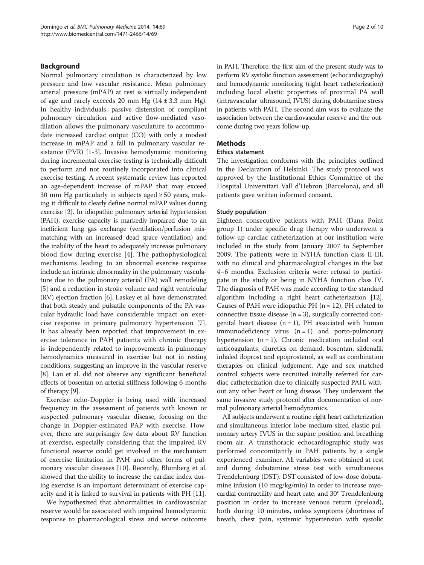### Background

Normal pulmonary circulation is characterized by low pressure and low vascular resistance. Mean pulmonary arterial pressure (mPAP) at rest is virtually independent of age and rarely exceeds 20 mm Hg  $(14 \pm 3.3 \text{ mm Hg})$ . In healthy individuals, passive distension of compliant pulmonary circulation and active flow-mediated vasodilation allows the pulmonary vasculature to accommodate increased cardiac output (CO) with only a modest increase in mPAP and a fall in pulmonary vascular resistance (PVR) [\[1-3](#page-8-0)]. Invasive hemodynamic monitoring during incremental exercise testing is technically difficult to perform and not routinely incorporated into clinical exercise testing. A recent systematic review has reported an age-dependent increase of mPAP that may exceed 30 mm Hg particularly in subjects aged  $\geq$  50 years, making it difficult to clearly define normal mPAP values during exercise [\[2](#page-8-0)]. In idiopathic pulmonary arterial hypertension (PAH), exercise capacity is markedly impaired due to an inefficient lung gas exchange (ventilation/perfusion mismatching with an increased dead space ventilation) and the inability of the heart to adequately increase pulmonary blood flow during exercise [\[4](#page-8-0)]. The pathophysiological mechanisms leading to an abnormal exercise response include an intrinsic abnormality in the pulmonary vasculature due to the pulmonary arterial (PA) wall remodeling [[5\]](#page-8-0) and a reduction in stroke volume and right ventricular (RV) ejection fraction [\[6](#page-8-0)]. Laskey et al. have demonstrated that both steady and pulsatile components of the PA vascular hydraulic load have considerable impact on exercise response in primary pulmonary hypertension [[7](#page-8-0)]. It has already been reported that improvement in exercise tolerance in PAH patients with chronic therapy is independently related to improvements in pulmonary hemodynamics measured in exercise but not in resting conditions, suggesting an improve in the vascular reserve [[8\]](#page-8-0). Lau et al. did not observe any significant beneficial effects of bosentan on arterial stiffness following 6-months of therapy [\[9](#page-8-0)].

Exercise echo-Doppler is being used with increased frequency in the assessment of patients with known or suspected pulmonary vascular disease, focusing on the change in Doppler-estimated PAP with exercise. However, there are surprisingly few data about RV function at exercise, especially considering that the impaired RV functional reserve could get involved in the mechanism of exercise limitation in PAH and other forms of pulmonary vascular diseases [\[10](#page-8-0)]. Recently, Blumberg et al. showed that the ability to increase the cardiac index during exercise is an important determinant of exercise capacity and it is linked to survival in patients with PH [\[11](#page-8-0)].

We hypothesized that abnormalities in cardiovascular reserve would be associated with impaired hemodynamic response to pharmacological stress and worse outcome in PAH. Therefore, the first aim of the present study was to perform RV systolic function assessment (echocardiography) and hemodynamic monitoring (right heart catheterization) including local elastic properties of proximal PA wall (intravascular ultrasound, IVUS) during dobutamine stress in patients with PAH. The second aim was to evaluate the association between the cardiovascular reserve and the outcome during two years follow-up.

# Methods

#### Ethics statement

The investigation conforms with the principles outlined in the Declaration of Helsinki. The study protocol was approved by the Institutional Ethics Committee of the Hospital Universitari Vall d'Hebron (Barcelona), and all patients gave written informed consent.

#### Study population

Eighteen consecutive patients with PAH (Dana Point group 1) under specific drug therapy who underwent a follow-up cardiac catheterization at our institution were included in the study from January 2007 to September 2009. The patients were in NYHA function class II-III, with no clinical and pharmacological changes in the last 4–6 months. Exclusion criteria were: refusal to participate in the study or being in NYHA function class IV. The diagnosis of PAH was made according to the standard algorithm including a right heart catheterization [[12](#page-8-0)]. Causes of PAH were idiopathic PH  $(n = 12)$ , PH related to connective tissue disease  $(n = 3)$ , surgically corrected congenital heart disease  $(n = 1)$ , PH associated with human immunodeficiency virus  $(n = 1)$  and porto-pulmonary hypertension  $(n = 1)$ . Chronic medication included oral anticoagulants, diuretics on demand, bosentan, sildenafil, inhaled iloprost and epoprostenol, as well as combination therapies on clinical judgement. Age and sex matched control subjects were recruited initially referred for cardiac catheterization due to clinically suspected PAH, without any other heart or lung disease. They underwent the same invasive study protocol after documentation of normal pulmonary arterial hemodynamics.

All subjects underwent a routine right heart catheterization and simultaneous inferior lobe medium-sized elastic pulmonary artery IVUS in the supine position and breathing room air. A transthoracic echocardiographic study was performed concomitantly in PAH patients by a single experienced examiner. All variables were obtained at rest and during dobutamine stress test with simultaneous Trendelenburg (DST). DST consisted of low-dose dobutamine infusion (10 mcg/kg/min) in order to increase myocardial contractility and heart rate, and 30° Trendelenburg position in order to increase venous return (preload), both during 10 minutes, unless symptoms (shortness of breath, chest pain, systemic hypertension with systolic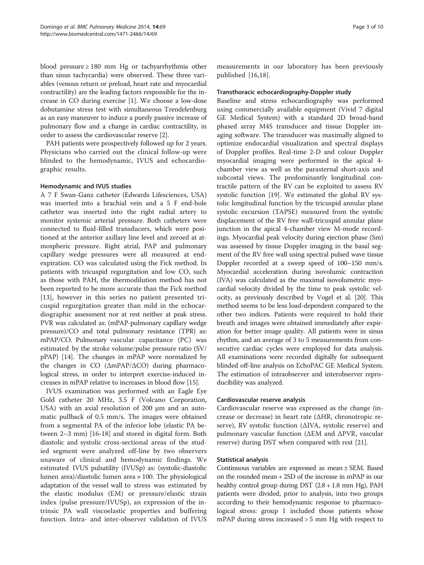blood pressure ≥ 180 mm Hg or tachyarrhythmia other than sinus tachycardia) were observed. These three variables (venous return or preload, heart rate and myocardial contractility) are the leading factors responsible for the increase in CO during exercise [\[1](#page-8-0)]. We choose a low-dose dobutamine stress test with simultaneous Trendelenburg as an easy maneuver to induce a purely passive increase of pulmonary flow and a change in cardiac contractility, in order to assess the cardiovascular reserve [\[2](#page-8-0)].

PAH patients were prospectively followed up for 2 years. Physicians who carried out the clinical follow-up were blinded to the hemodynamic, IVUS and echocardiographic results.

#### Hemodynamic and IVUS studies

A 7 F Swan-Ganz catheter (Edwards Lifesciences, USA) was inserted into a brachial vein and a 5 F end-hole catheter was inserted into the right radial artery to monitor systemic arterial pressure. Both catheters were connected to fluid-filled transducers, which were positioned at the anterior axillary line level and zeroed at atmospheric pressure. Right atrial, PAP and pulmonary capillary wedge pressures were all measured at endexpiration. CO was calculated using the Fick method. In patients with tricuspid regurgitation and low CO, such as those with PAH, the thermodilution method has not been reported to be more accurate than the Fick method [[13\]](#page-9-0), however in this series no patient presented tricuspid regurgitation greater than mild in the echocardiographic assessment nor at rest neither at peak stress. PVR was calculated as: (mPAP-pulmonary capillary wedge pressure)/CO and total pulmonary resistance (TPR) as: mPAP/CO. Pulmonary vascular capacitance (PC) was estimated by the stroke volume/pulse pressure ratio (SV/ pPAP) [[14](#page-9-0)]. The changes in mPAP were normalized by the changes in CO (ΔmPAP/ΔCO) during pharmacological stress, in order to interpret exercise-induced increases in mPAP relative to increases in blood flow [[15](#page-9-0)].

IVUS examination was performed with an Eagle Eye Gold catheter 20 MHz, 3.5 F (Volcano Corporation, USA) with an axial resolution of 200 μm and an automatic pullback of 0.5 mm/s. The images were obtained from a segmental PA of the inferior lobe (elastic PA between 2–3 mm) [\[16](#page-9-0)-[18\]](#page-9-0) and stored in digital form. Both diastolic and systolic cross-sectional areas of the studied segment were analyzed off-line by two observers unaware of clinical and hemodynamic findings. We estimated IVUS pulsatility (IVUSp) as: (systolic-diastolic lumen area)/diastolic lumen area  $\times$  100. The physiological adaptation of the vessel wall to stress was estimated by the elastic modulus (EM) or pressure/elastic strain index (pulse pressure/IVUSp), an expression of the intrinsic PA wall viscoelastic properties and buffering function. Intra- and inter-observer validation of IVUS measurements in our laboratory has been previously published [\[16,18](#page-9-0)].

#### Transthoracic echocardiography-Doppler study

Baseline and stress echocardiography was performed using commercially available equipment (Vivid 7 digital GE Medical System) with a standard 2D broad-band phased array M4S transducer and tissue Doppler imaging software. The transducer was maximally aligned to optimize endocardial visualization and spectral displays of Doppler profiles. Real-time 2-D and colour Doppler myocardial imaging were performed in the apical 4 chamber view as well as the parasternal short-axis and subcostal views. The predominantly longitudinal contractile pattern of the RV can be exploited to assess RV systolic function [\[19\]](#page-9-0). We estimated the global RV systolic longitudinal function by the tricuspid annular plane systolic excursion (TAPSE) measured from the systolic displacement of the RV free wall-tricuspid annular plane junction in the apical 4-chamber view M-mode recordings. Myocardial peak velocity during ejection phase (Sm) was assessed by tissue Doppler imaging in the basal segment of the RV free wall using spectral pulsed wave tissue Doppler recorded at a sweep speed of 100–150 mm/s. Myocardial acceleration during isovolumic contraction (IVA) was calculated as the maximal isovolumetric myocardial velocity divided by the time to peak systolic velocity, as previously described by Vogel et al. [\[20\]](#page-9-0). This method seems to be less load-dependent compared to the other two indices. Patients were required to hold their breath and images were obtained immediately after expiration for better image quality. All patients were in sinus rhythm, and an average of 3 to 5 measurements from consecutive cardiac cycles were employed for data analysis. All examinations were recorded digitally for subsequent blinded off-line analysis on EchoPAC GE Medical System. The estimation of intraobserver and interobserver reproducibility was analyzed.

# Cardiovascular reserve analysis

Cardiovascular reserve was expressed as the change (increase or decrease) in heart rate (ΔHR, chronotropic reserve), RV systolic function (ΔIVA, systolic reserve) and pulmonary vascular function (ΔEM and ΔPVR, vascular reserve) during DST when compared with rest [[21\]](#page-9-0).

# Statistical analysis

Continuous variables are expressed as mean ± SEM. Based on the rounded mean + 2SD of the increase in mPAP in our healthy control group during DST (2.8 + 1.8 mm Hg), PAH patients were divided, prior to analysis, into two groups according to their hemodynamic response to pharmacological stress: group 1 included those patients whose mPAP during stress increased > 5 mm Hg with respect to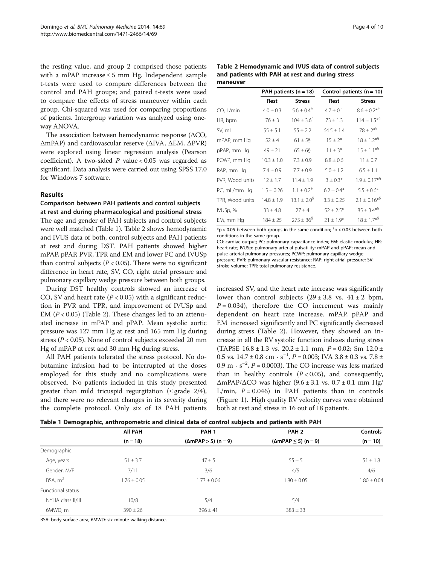<span id="page-3-0"></span>the resting value, and group 2 comprised those patients with a mPAP increase ≤ 5 mm Hg. Independent sample t-tests were used to compare differences between the control and PAH groups; and paired t-tests were used to compare the effects of stress maneuver within each group. Chi-squared was used for comparing proportions of patients. Intergroup variation was analyzed using oneway ANOVA.

The association between hemodynamic response (ΔCO, ΔmPAP) and cardiovascular reserve (ΔIVA, ΔEM, ΔPVR) were explored using linear regression analysis (Pearson coefficient). A two-sided  $P$  value < 0.05 was regarded as significant. Data analysis were carried out using SPSS 17.0 for Windows 7 software.

# Results

# Comparison between PAH patients and control subjects at rest and during pharmacological and positional stress

The age and gender of PAH subjects and control subjects were well matched (Table 1). Table 2 shows hemodynamic and IVUS data of both, control subjects and PAH patients at rest and during DST. PAH patients showed higher mPAP, pPAP, PVR, TPR and EM and lower PC and IVUSp than control subjects ( $P < 0.05$ ). There were no significant difference in heart rate, SV, CO, right atrial pressure and pulmonary capillary wedge pressure between both groups.

During DST healthy controls showed an increase of CO, SV and heart rate  $(P < 0.05)$  with a significant reduction in PVR and TPR, and improvement of IVUSp and EM ( $P < 0.05$ ) (Table 2). These changes led to an attenuated increase in mPAP and pPAP. Mean systolic aortic pressure was 127 mm Hg at rest and 165 mm Hg during stress (P < 0.05). None of control subjects exceeded 20 mm Hg of mPAP at rest and 30 mm Hg during stress.

All PAH patients tolerated the stress protocol. No dobutamine infusion had to be interrupted at the doses employed for this study and no complications were observed. No patients included in this study presented greater than mild tricuspid regurgitation ( $\leq$  grade 2/4), and there were no relevant changes in its severity during the complete protocol. Only six of 18 PAH patients

| Table 2 Hemodynamic and IVUS data of control subjects |
|-------------------------------------------------------|
| and patients with PAH at rest and during stress       |
| maneuver                                              |

|                 | PAH patients $(n = 18)$ |                             |                | Control patients $(n = 10)$ |
|-----------------|-------------------------|-----------------------------|----------------|-----------------------------|
|                 | Rest                    | <b>Stress</b>               | Rest           | <b>Stress</b>               |
| CO, L/min       | $4.0 \pm 0.3$           | $5.6 \pm 0.4^{\frac{6}{3}}$ | $4.7 \pm 0.1$  | $8.6 \pm 0.2^{*5}$          |
| HR, bpm         | $76 \pm 3$              | $104 + 3.6^9$               | $73 \pm 1.3$   | $114 \pm 1.5^{*5}$          |
| SV, mL          | $55 \pm 5.1$            | $55 \pm 2.2$                | $64.5 \pm 1.4$ | $78 \pm 2*^{\S}$            |
| mPAP, mm Hq     | $52 \pm 4$              | $61 \pm 59$                 | $15 \pm 2*$    | $18 \pm 1.2^{*5}$           |
| pPAP, mm Hq     | $49 \pm 21$             | $65 \pm 69$                 | $11 \pm 3*$    | $15 \pm 1.1^{*5}$           |
| PCWP, mm Hq     | $10.3 \pm 1.0$          | $7.3 \pm 0.9$               | $8.8 + 0.6$    | $11 \pm 0.7$                |
| RAP, mm Hg      | $7.4 \pm 0.9$           | $7.7 \pm 0.9$               | $5.0 \pm 1.2$  | $6.5 \pm 1.1$               |
| PVR, Wood units | $12 \pm 1.7$            | $11.4 \pm 1.9$              | $3 \pm 0.3*$   | $1.9 \pm 0.17^{*5}$         |
| PC, mL/mm Hq    | $1.5 \pm 0.26$          | $1.1 + 0.2^9$               | $6.2 \pm 0.4*$ | $5.5 \pm 0.6*$              |
| TPR, Wood units | $14.8 \pm 1.9$          | $13.1 + 2.0^9$              | $3.3 \pm 0.25$ | $2.1 \pm 0.16^{*9}$         |
| IVUSp, %        | $33 \pm 4.8$            | $27 + 4$                    | $52 \pm 2.5*$  | $85 \pm 3.4*^{\S}$          |
| EM, mm Hg       | $184 \pm 25$            | $275 + 36^9$                | $71 + 1.9*$    | $18 \pm 1.7^{*5}$           |

 $*p < 0.05$  between both groups in the same condition;  ${}^{5}p < 0.05$  between both conditions in the same group.

CO: cardiac output; PC: pulmonary capacitance index; EM: elastic modulus; HR: heart rate; IVUSp: pulmonary arterial pulsatility; mPAP and pPAP: mean and pulse arterial pulmonary pressures; PCWP: pulmonary capillary wedge pressure; PVR: pulmonary vascular resistance; RAP: right atrial pressure; SV: stroke volume; TPR: total pulmonary resistance.

increased SV, and the heart rate increase was significantly lower than control subjects  $(29 \pm 3.8 \text{ vs. } 41 \pm 2 \text{ bpm}$ ,  $P = 0.034$ ), therefore the CO increment was mainly dependent on heart rate increase. mPAP, pPAP and EM increased significantly and PC significantly decreased during stress (Table 2). However, they showed an increase in all the RV systolic function indexes during stress (TAPSE  $16.8 \pm 1.3$  vs.  $20.2 \pm 1.1$  mm,  $P = 0.02$ ; Sm  $12.0 \pm 1.1$ 0.5 vs.  $14.7 \pm 0.8$  cm  $\cdot$  s<sup>-1</sup>,  $P = 0.003$ ; IVA  $3.8 \pm 0.3$  vs.  $7.8 \pm 0.3$ 0.9 m  $\cdot$  s<sup>-2</sup>, P = 0.0003). The CO increase was less marked than in healthy controls  $(P < 0.05)$ , and consequently,  $\Delta$ mPAP/ $\Delta$ CO was higher (9.6 ± 3.1 vs. 0.7 ± 0.1 mm Hg/ L/min,  $P = 0.046$ ) in PAH patients than in controls (Figure [1](#page-4-0)). High quality RV velocity curves were obtained both at rest and stress in 16 out of 18 patients.

| Table 1 Demographic, anthropometric and clinical data of control subjects and patients with PAH |  |  |
|-------------------------------------------------------------------------------------------------|--|--|
|-------------------------------------------------------------------------------------------------|--|--|

| - -                 |                 |                             |                                |                 |
|---------------------|-----------------|-----------------------------|--------------------------------|-----------------|
|                     | <b>All PAH</b>  | PAH <sub>1</sub>            | PAH <sub>2</sub>               | Controls        |
|                     | $(n = 18)$      | $(\Delta mPAP > 5)$ (n = 9) | $(\Delta m PAP \le 5)$ (n = 9) | $(n = 10)$      |
| Demographic         |                 |                             |                                |                 |
| Age, years          | $51 \pm 3.7$    | $47 \pm 5$                  | $55 \pm 5$                     | $51 \pm 1.8$    |
| Gender, M/F         | 7/11            | 3/6                         | 4/5                            | 4/6             |
| BSA, m <sup>2</sup> | $1.76 \pm 0.05$ | $1.73 \pm 0.06$             | $1.80 \pm 0.05$                | $1.80 \pm 0.04$ |
| Functional status   |                 |                             |                                |                 |
| NYHA class II/III   | 10/8            | 5/4                         | 5/4                            |                 |
| 6MWD, m             | $390 \pm 26$    | $396 \pm 41$                | $383 \pm 33$                   |                 |
|                     |                 |                             |                                |                 |

BSA: body surface area; 6MWD: six minute walking distance.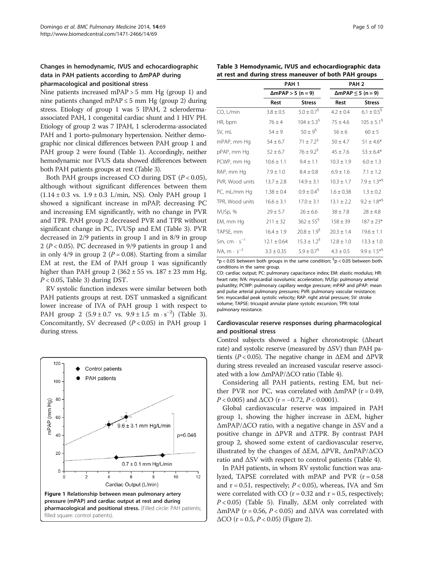# <span id="page-4-0"></span>Changes in hemodynamic, IVUS and echocardiographic data in PAH patients according to ΔmPAP during pharmacological and positional stress

Nine patients increased mPAP > 5 mm Hg (group 1) and nine patients changed mPAP  $\leq$  5 mm Hg (group 2) during stress. Etiology of group 1 was 5 IPAH, 2 sclerodermaassociated PAH, 1 congenital cardiac shunt and 1 HIV PH. Etiology of group 2 was 7 IPAH, 1 scleroderma-associated PAH and 1 porto-pulmonary hypertension. Neither demographic nor clinical differences between PAH group 1 and PAH group 2 were found (Table [1\)](#page-3-0). Accordingly, neither hemodynamic nor IVUS data showed differences between both PAH patients groups at rest (Table 3).

Both PAH groups increased CO during DST  $(P < 0.05)$ , although without significant differences between them  $(1.14 \pm 0.3 \text{ vs. } 1.9 \pm 0.3 \text{ L/min, NS})$ . Only PAH group 1 showed a significant increase in mPAP, decreasing PC and increasing EM significantly, with no change in PVR and TPR. PAH group 2 decreased PVR and TPR without significant change in PC, IVUSp and EM (Table 3). PVR decreased in 2/9 patients in group 1 and in 8/9 in group 2 ( $P < 0.05$ ). PC decreased in 9/9 patients in group 1 and in only 4/9 in group 2 ( $P = 0.08$ ). Starting from a similar EM at rest, the EM of PAH group 1 was significantly higher than PAH group 2 (362  $\pm$  55 vs. 187  $\pm$  23 mm Hg,  $P < 0.05$ , Table 3) during DST.

RV systolic function indexes were similar between both PAH patients groups at rest. DST unmasked a significant lower increase of IVA of PAH group 1 with respect to PAH group 2  $(5.9 \pm 0.7 \text{ vs. } 9.9 \pm 1.5 \text{ m} \cdot \text{s}^{-2})$  (Table 3). Concomitantly, SV decreased  $(P < 0.05)$  in PAH group 1 during stress.



| Page 5 of 10 |  |  |  |  |
|--------------|--|--|--|--|
|--------------|--|--|--|--|

Table 3 Hemodynamic, IVUS and echocardiographic data at rest and during stress maneuver of both PAH groups

|                                | PAH <sub>1</sub>           |                             | PAH <sub>2</sub><br>$\Delta m$ PAP $\leq$ 5 (n = 9) |                             |  |
|--------------------------------|----------------------------|-----------------------------|-----------------------------------------------------|-----------------------------|--|
|                                | $\Delta m$ PAP > 5 (n = 9) |                             |                                                     |                             |  |
|                                | Rest                       | <b>Stress</b>               |                                                     | <b>Stress</b>               |  |
| CO, L/min                      | $3.8 \pm 0.5$              | $5.0 \pm 0.7$ <sup>9</sup>  | $4.2 \pm 0.4$                                       | $6.1 \pm 0.5^{\circ}$       |  |
| HR, bpm                        | $76 \pm 4$                 | $104 \pm 5.3^9$             | $75 \pm 4.6$                                        | $105 \pm 5.1^{\frac{6}{5}}$ |  |
| SV, mL                         | $54 \pm 9$                 | $50 \pm 9^9$                | $56 \pm 6$                                          | $60 \pm 5$                  |  |
| mPAP, mm Hg                    | $54 \pm 6.7$               | $71 \pm 7.2^9$              | $50 \pm 4.7$                                        | $51 \pm 4.6*$               |  |
| pPAP, mm Hg                    | $52 \pm 6.7$               | $76 \pm 9.2^9$              | $45 \pm 7.6$                                        | $53 \pm 6.4*$               |  |
| PCWP, mm Hq                    | $10.6 \pm 1.1$             | $9.4 \pm 1.1$               | $10.3 \pm 1.9$                                      | $6.0 \pm 1.3$               |  |
| RAP, mm Hg                     | $7.9 \pm 1.0$              | $8.4 \pm 0.8$               | $6.9 \pm 1.6$                                       | $7.1 \pm 1.2$               |  |
| PVR, Wood units                | $13.7 \pm 2.8$             | $14.9 \pm 3.1$              | $10.3 \pm 1.7$                                      | $7.9 \pm 1.3^{*9}$          |  |
| PC, mL/mm Hg                   | $1.38 \pm 0.4$             | $0.9 \pm 0.4^{\frac{5}{3}}$ | $1.6 \pm 0.38$                                      | $1.3 \pm 0.2$               |  |
| TPR, Wood units                | $16.6 \pm 3.1$             | $17.0 \pm 3.1$              | $13.1 \pm 2.2$                                      | $9.2 \pm 1.8^{*9}$          |  |
| IVUSp, %                       | $29 \pm 5.7$               | $26 \pm 6.6$                | $38 \pm 7.8$                                        | $28 \pm 4.8$                |  |
| EM, mm Hg                      | $211 \pm 32$               | $362 \pm 55^9$              | $158 \pm 39$                                        | $187 \pm 23*$               |  |
| TAPSE, mm                      | $16.4 \pm 1.9$             | $20.8 \pm 1.9^5$            | $20.3 \pm 1.4$                                      | $19.6 \pm 1.1$              |  |
| Sm, cm $\cdot$ s <sup>-1</sup> | $12.1 \pm 0.64$            | $15.3 \pm 1.2^9$            | $12.8 \pm 1.0$                                      | $13.3 \pm 1.0$              |  |
| IVA, $m \cdot s^{-2}$          | $3.3 \pm 0.35$             | $5.9 \pm 0.7^9$             | $4.3 \pm 0.5$                                       | $9.9 \pm 1.5^{*5}$          |  |

 $*p < 0.05$  between both groups in the same condition;  ${}^{5}p < 0.05$  between both conditions in the same group.

CO: cardiac output; PC: pulmonary capacitance index; EM: elastic modulus; HR: heart rate; IVA: myocardial isovolumic acceleration; IVUSp: pulmonary arterial pulsatility; PCWP: pulmonary capillary wedge pressure; mPAP and pPAP: mean and pulse arterial pulmonary pressures; PVR: pulmonary vascular resistance; Sm: myocardial peak systolic velocity; RAP: right atrial pressure; SV: stroke volume; TAPSE: tricuspid annular plane systolic excursion; TPR: total pulmonary resistance.

#### Cardiovascular reserve responses during pharmacological and positional stress

Control subjects showed a higher chronotropic (Δheart rate) and systolic reserve (measured by ΔSV) than PAH patients ( $P < 0.05$ ). The negative change in  $\Delta EM$  and  $\Delta PVR$ during stress revealed an increased vascular reserve associated with a low  $\Delta$ mPAP/ $\Delta$ CO ratio (Table [4\)](#page-5-0).

Considering all PAH patients, resting EM, but neither PVR nor PC, was correlated with  $\triangle mPAP$  (r = 0.49,  $P < 0.005$ ) and  $\Delta CO$  (r = -0.72,  $P < 0.0001$ ).

Global cardiovascular reserve was impaired in PAH group 1, showing the higher increase in ΔEM, higher ΔmPAP/ΔCO ratio, with a negative change in ΔSV and a positive change in ΔPVR and ΔTPR. By contrast PAH group 2, showed some extent of cardiovascular reserve, illustrated by the changes of ΔEM, ΔPVR, ΔmPAP/ΔCO ratio and ΔSV with respect to control patients (Table [4\)](#page-5-0).

In PAH patients, in whom RV systolic function was analyzed, TAPSE correlated with mPAP and PVR  $(r = 0.58$ and  $r = 0.51$ , respectively;  $P < 0.05$ ), whereas, IVA and Sm were correlated with CO ( $r = 0.32$  and  $r = 0.5$ , respectively;  $P < 0.05$ ) (Table [5](#page-5-0)). Finally,  $\Delta EM$  only correlated with  $ΔmPAP$  (r = 0.56,  $P < 0.05$ ) and  $ΔIVA$  was correlated with  $\Delta CO$  (r = 0.5, P < 0.05) (Figure [2](#page-6-0)).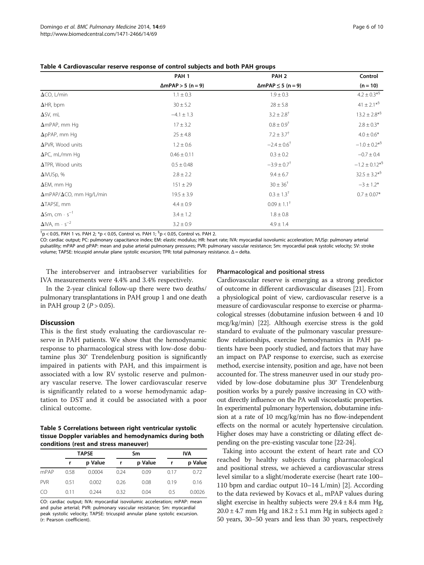|                                         | PAH <sub>1</sub>          | PAH <sub>2</sub>                | Control                      |
|-----------------------------------------|---------------------------|---------------------------------|------------------------------|
|                                         | $\Delta$ mPAP > 5 (n = 9) | $\Delta m$ PAP $\leq$ 5 (n = 9) | $(n = 10)$                   |
| $\Delta CO$ , L/min                     | $1.1 \pm 0.3$             | $1.9 \pm 0.3$                   | $4.2 \pm 0.3*^5$             |
| $\Delta$ HR, bpm                        | $30 \pm 5.2$              | $28 \pm 5.8$                    | $41 \pm 2.1^{*5}$            |
| $\Delta$ SV, mL                         | $-4.1 \pm 1.3$            | $3.2 \pm 2.8$ <sup>†</sup>      | $13.2 \pm 2.8^{*5}$          |
| $\Delta$ mPAP, mm Hq                    | $17 \pm 3.2$              | $0.8 \pm 0.9$ <sup>†</sup>      | $2.8 \pm 0.3*$               |
| $\Delta$ pPAP, mm Hq                    | $25 \pm 4.8$              | $7.2 \pm 3.7$ <sup>†</sup>      | $4.0 \pm 0.6*$               |
| $\Delta$ PVR, Wood units                | $1.2 \pm 0.6$             | $-2.4 \pm 0.6$ <sup>†</sup>     | $-1.0 \pm 0.2$ <sup>*§</sup> |
| $\Delta$ PC, mL/mm Hq                   | $0.46 \pm 0.11$           | $0.3 \pm 0.2$                   | $-0.7 \pm 0.4$               |
| $\Delta$ TPR, Wood units                | $0.5 \pm 0.48$            | $-3.9 \pm 0.7$ <sup>+</sup>     | $-1.2 \pm 0.12^{*5}$         |
| $\Delta$ IVUSp, %                       | $2.8 \pm 2.2$             | $9.4 \pm 6.7$                   | $32.5 \pm 3.2^{*5}$          |
| $\Delta$ EM, mm Hq                      | $151 \pm 29$              | $30 \pm 36^{\dagger}$           | $-3 \pm 1.2*$                |
| $\Delta$ mPAP/ $\Delta$ CO, mm Hg/L/min | $19.5 \pm 3.9$            | $0.3 \pm 1.3^{\dagger}$         | $0.7 \pm 0.07*$              |
| $\Delta$ TAPSE, mm                      | $4.4 \pm 0.9$             | $0.09 \pm 1.1^+$                |                              |
| $\Delta$ Sm, cm $\cdot$ s <sup>-1</sup> | $3.4 \pm 1.2$             | $1.8 \pm 0.8$                   |                              |
| $\Delta$ IVA, m · s <sup>-2</sup>       | $3.2 \pm 0.9$             | $4.9 \pm 1.4$                   |                              |

# <span id="page-5-0"></span>Table 4 Cardiovascular reserve response of control subjects and both PAH groups

 $^{\texttt{+}}$ p < 0.05, PAH 1 vs. PAH 2; \*p < 0.05, Control vs. PAH 1;  $^{\texttt{S}}$ p < 0.05, Control vs. PAH 2.

CO: cardiac output; PC: pulmonary capacitance index; EM: elastic modulus; HR: heart rate; IVA: myocardial isovolumic acceleration; IVUSp: pulmonary arterial pulsatility; mPAP and pPAP: mean and pulse arterial pulmonary pressures; PVR: pulmonary vascular resistance; Sm: myocardial peak systolic velocity; SV: stroke volume; TAPSE: tricuspid annular plane systolic excursion; TPR: total pulmonary resistance. Δ = delta.

The interobserver and intraobserver variabilities for IVA measurements were 4.4% and 3.4% respectively.

In the 2-year clinical follow-up there were two deaths/ pulmonary transplantations in PAH group 1 and one death in PAH group 2 ( $P > 0.05$ ).

#### Discussion

This is the first study evaluating the cardiovascular reserve in PAH patients. We show that the hemodynamic response to pharmacological stress with low-dose dobutamine plus 30° Trendelenburg position is significantly impaired in patients with PAH, and this impairment is associated with a low RV systolic reserve and pulmonary vascular reserve. The lower cardiovascular reserve is significantly related to a worse hemodynamic adaptation to DST and it could be associated with a poor clinical outcome.

#### Table 5 Correlations between right ventricular systolic tissue Doppler variables and hemodynamics during both conditions (rest and stress maneuver)

|            |      | <b>TAPSE</b> |      | Sm      |      | IVA     |
|------------|------|--------------|------|---------|------|---------|
|            |      | p Value      |      | p Value |      | p Value |
| mPAP       | 0.58 | 0.0004       | 0.24 | 0.09    | 0.17 | 0.72    |
| <b>PVR</b> | 0.51 | 0.002        | 0.26 | 0.08    | 0.19 | 0.16    |
| CO         | 011  | 0.244        | 0.32 | 0.04    | 0.5  | 0.0026  |

CO: cardiac output; IVA: myocardial isovolumic acceleration; mPAP: mean and pulse arterial; PVR: pulmonary vascular resistance; Sm: myocardial peak systolic velocity; TAPSE: tricuspid annular plane systolic excursion. (r: Pearson coefficient).

### Pharmacological and positional stress

Cardiovascular reserve is emerging as a strong predictor of outcome in different cardiovascular diseases [\[21\]](#page-9-0). From a physiological point of view, cardiovascular reserve is a measure of cardiovascular response to exercise or pharmacological stresses (dobutamine infusion between 4 and 10 mcg/kg/min) [\[22\]](#page-9-0). Although exercise stress is the gold standard to evaluate of the pulmonary vascular pressureflow relationships, exercise hemodynamics in PAH patients have been poorly studied, and factors that may have an impact on PAP response to exercise, such as exercise method, exercise intensity, position and age, have not been accounted for. The stress maneuver used in our study provided by low-dose dobutamine plus 30° Trendelenburg position works by a purely passive increasing in CO without directly influence on the PA wall viscoelastic properties. In experimental pulmonary hypertension, dobutamine infusion at a rate of 10 mcg/kg/min has no flow-independent effects on the normal or acutely hypertensive circulation. Higher doses may have a constricting or dilating effect depending on the pre-existing vascular tone [[22](#page-9-0)-[24\]](#page-9-0).

Taking into account the extent of heart rate and CO reached by healthy subjects during pharmacological and positional stress, we achieved a cardiovascular stress level similar to a slight/moderate exercise (heart rate 100– 110 bpm and cardiac output 10–14 L/min) [\[2\]](#page-8-0). According to the data reviewed by Kovacs et al., mPAP values during slight exercise in healthy subjects were  $29.4 \pm 8.4$  mm Hg,  $20.0 \pm 4.7$  mm Hg and  $18.2 \pm 5.1$  mm Hg in subjects aged  $\ge$ 50 years, 30–50 years and less than 30 years, respectively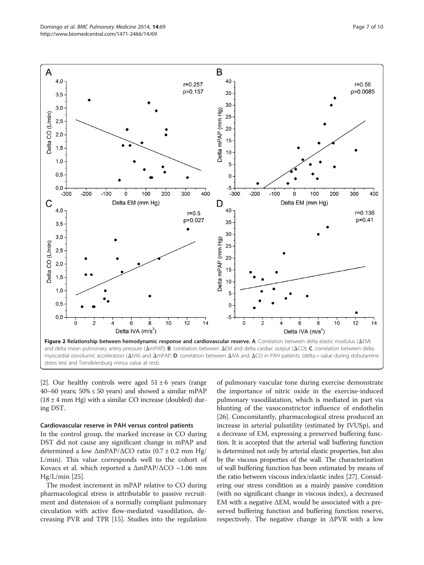<span id="page-6-0"></span>

[[2\]](#page-8-0). Our healthy controls were aged  $51 \pm 6$  years (range 40–60 years;  $50\% \le 50$  years) and showed a similar mPAP  $(18 \pm 4 \text{ mm Hg})$  with a similar CO increase (doubled) during DST.

### Cardiovascular reserve in PAH versus control patients

In the control group, the marked increase in CO during DST did not cause any significant change in mPAP and determined a low  $\Delta$ mPAP/ $\Delta$ CO ratio (0.7 ± 0.2 mm Hg/ L/min). This value corresponds well to the cohort of Kovacs et al. which reported a ΔmPAP/ΔCO ~1.06 mm Hg/L/min [[25\]](#page-9-0).

The modest increment in mPAP relative to CO during pharmacological stress is attributable to passive recruitment and distension of a normally compliant pulmonary circulation with active flow-mediated vasodilation, decreasing PVR and TPR [\[15\]](#page-9-0). Studies into the regulation of pulmonary vascular tone during exercise demonstrate the importance of nitric oxide in the exercise-induced pulmonary vasodilatation, which is mediated in part via blunting of the vasoconstrictor influence of endothelin [[26\]](#page-9-0). Concomitantly, pharmacological stress produced an increase in arterial pulsatility (estimated by IVUSp), and a decrease of EM, expressing a preserved buffering function. It is accepted that the arterial wall buffering function is determined not only by arterial elastic properties, but also by the viscous properties of the wall. The characterization of wall buffering function has been estimated by means of the ratio between viscous index/elastic index [\[27\]](#page-9-0). Considering our stress condition as a mainly passive condition (with no significant change in viscous index), a decreased EM with a negative  $\Delta$ EM, would be associated with a preserved buffering function and buffering function reserve, respectively. The negative change in ΔPVR with a low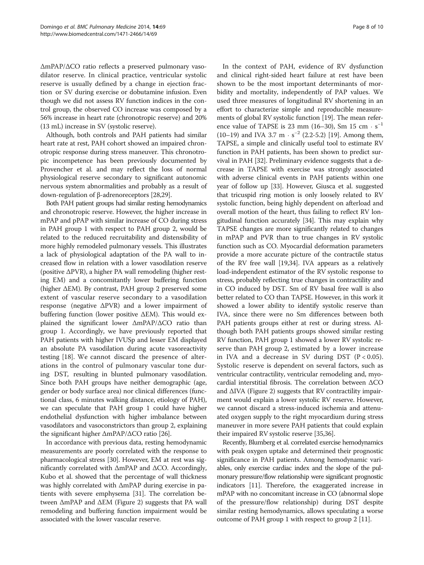ΔmPAP/ΔCO ratio reflects a preserved pulmonary vasodilator reserve. In clinical practice, ventricular systolic reserve is usually defined by a change in ejection fraction or SV during exercise or dobutamine infusion. Even though we did not assess RV function indices in the control group, the observed CO increase was composed by a 56% increase in heart rate (chronotropic reserve) and 20% (13 mL) increase in SV (systolic reserve).

Although, both controls and PAH patients had similar heart rate at rest, PAH cohort showed an impaired chronotropic response during stress maneuver. This chronotropic incompetence has been previously documented by Provencher et al. and may reflect the loss of normal physiological reserve secondary to significant autonomic nervous system abnormalities and probably as a result of down-regulation of β-adrenoreceptors [\[28,29](#page-9-0)].

Both PAH patient groups had similar resting hemodynamics and chronotropic reserve. However, the higher increase in mPAP and pPAP with similar increase of CO during stress in PAH group 1 with respect to PAH group 2, would be related to the reduced recruitability and distensibility of more highly remodeled pulmonary vessels. This illustrates a lack of physiological adaptation of the PA wall to increased flow in relation with a lower vasodilation reserve (positive ΔPVR), a higher PA wall remodeling (higher resting EM) and a concomitantly lower buffering function (higher ΔEM). By contrast, PAH group 2 preserved some extent of vascular reserve secondary to a vasodilation response (negative ΔPVR) and a lower impairment of buffering function (lower positive ΔEM). This would explained the significant lower ΔmPAP/ΔCO ratio than group 1. Accordingly, we have previously reported that PAH patients with higher IVUSp and lesser EM displayed an absolute PA vasodilation during acute vasoreactivity testing [\[18\]](#page-9-0). We cannot discard the presence of alterations in the control of pulmonary vascular tone during DST, resulting in blunted pulmonary vasodilation. Since both PAH groups have neither demographic (age, gender or body surface area) nor clinical differences (functional class, 6 minutes walking distance, etiology of PAH), we can speculate that PAH group 1 could have higher endothelial dysfunction with higher imbalance between vasodilators and vasoconstrictors than group 2, explaining the significant higher ΔmPAP/ΔCO ratio [\[26\]](#page-9-0).

In accordance with previous data, resting hemodynamic measurements are poorly correlated with the response to pharmacological stress [[30](#page-9-0)]. However, EM at rest was significantly correlated with ΔmPAP and ΔCO. Accordingly, Kubo et al. showed that the percentage of wall thickness was highly correlated with ΔmPAP during exercise in patients with severe emphysema [[31](#page-9-0)]. The correlation between ΔmPAP and ΔEM (Figure [2\)](#page-6-0) suggests that PA wall remodeling and buffering function impairment would be associated with the lower vascular reserve.

In the context of PAH, evidence of RV dysfunction and clinical right-sided heart failure at rest have been shown to be the most important determinants of morbidity and mortality, independently of PAP values. We used three measures of longitudinal RV shortening in an effort to characterize simple and reproducible measurements of global RV systolic function [\[19](#page-9-0)]. The mean reference value of TAPSE is 23 mm (16–30), Sm 15 cm  $\cdot$  s<sup>-1</sup> (10–19) and IVA 3.7 m  $\cdot$  s<sup>-2</sup> (2.2-5.2) [\[19\]](#page-9-0). Among them, TAPSE, a simple and clinically useful tool to estimate RV function in PAH patients, has been shown to predict survival in PAH [[32](#page-9-0)]. Preliminary evidence suggests that a decrease in TAPSE with exercise was strongly associated with adverse clinical events in PAH patients within one year of follow up [[33](#page-9-0)]. However, Giusca et al. suggested that tricuspid ring motion is only loosely related to RV systolic function, being highly dependent on afterload and overall motion of the heart, thus failing to reflect RV longitudinal function accurately [\[34](#page-9-0)]. This may explain why TAPSE changes are more significantly related to changes in mPAP and PVR than to true changes in RV systolic function such as CO. Myocardial deformation parameters provide a more accurate picture of the contractile status of the RV free wall [\[19,34\]](#page-9-0). IVA appears as a relatively load-independent estimator of the RV systolic response to stress, probably reflecting true changes in contractility and in CO induced by DST. Sm of RV basal free wall is also better related to CO than TAPSE. However, in this work it showed a lower ability to identify systolic reserve than IVA, since there were no Sm differences between both PAH patients groups either at rest or during stress. Although both PAH patients groups showed similar resting RV function, PAH group 1 showed a lower RV systolic reserve than PAH group 2, estimated by a lower increase in IVA and a decrease in SV during DST  $(P < 0.05)$ . Systolic reserve is dependent on several factors, such as ventricular contractility, ventricular remodeling and, myocardial interstitial fibrosis. The correlation between ΔCO and ΔIVA (Figure [2\)](#page-6-0) suggests that RV contractility impairment would explain a lower systolic RV reserve. However, we cannot discard a stress-induced ischemia and attenuated oxygen supply to the right myocardium during stress maneuver in more severe PAH patients that could explain their impaired RV systolic reserve [[35,36\]](#page-9-0).

Recently, Blumberg et al. correlated exercise hemodynamics with peak oxygen uptake and determined their prognostic significance in PAH patients. Among hemodynamic variables, only exercise cardiac index and the slope of the pulmonary pressure/flow relationship were significant prognostic indicators [\[11\]](#page-8-0). Therefore, the exaggerated increase in mPAP with no concomitant increase in CO (abnormal slope of the pressure/flow relationship) during DST despite similar resting hemodynamics, allows speculating a worse outcome of PAH group 1 with respect to group 2 [\[11](#page-8-0)].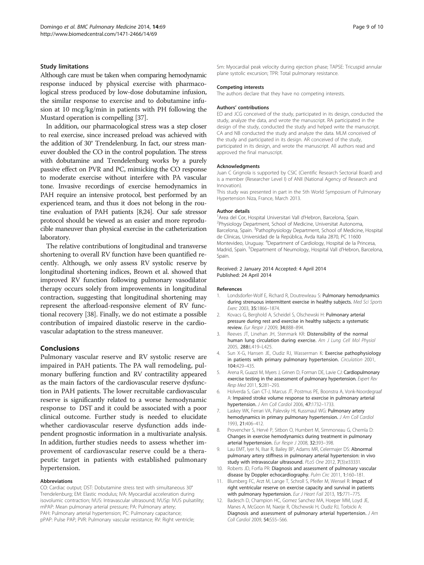#### <span id="page-8-0"></span>Study limitations

Although care must be taken when comparing hemodynamic response induced by physical exercise with pharmacological stress produced by low-dose dobutamine infusion, the similar response to exercise and to dobutamine infusion at 10 mcg/kg/min in patients with PH following the Mustard operation is compelling [\[37\]](#page-9-0).

In addition, our pharmacological stress was a step closer to real exercise, since increased preload was achieved with the addition of 30° Trendelenburg. In fact, our stress maneuver doubled the CO in the control population. The stress with dobutamine and Trendelenburg works by a purely passive effect on PVR and PC, mimicking the CO response to moderate exercise without interfere with PA vascular tone. Invasive recordings of exercise hemodynamics in PAH require an intensive protocol, best performed by an experienced team, and thus it does not belong in the routine evaluation of PAH patients [8[,24\]](#page-9-0). Our safe stressor protocol should be viewed as an easier and more reproducible maneuver than physical exercise in the catheterization laboratory.

The relative contributions of longitudinal and transverse shortening to overall RV function have been quantified recently. Although, we only assess RV systolic reserve by longitudinal shortening indices, Brown et al. showed that improved RV function following pulmonary vasodilator therapy occurs solely from improvements in longitudinal contraction, suggesting that longitudinal shortening may represent the afterload-responsive element of RV functional recovery [\[38\]](#page-9-0). Finally, we do not estimate a possible contribution of impaired diastolic reserve in the cardiovascular adaptation to the stress maneuver.

#### Conclusions

Pulmonary vascular reserve and RV systolic reserve are impaired in PAH patients. The PA wall remodeling, pulmonary buffering function and RV contractility appeared as the main factors of the cardiovascular reserve dysfunction in PAH patients. The lower recruitable cardiovascular reserve is significantly related to a worse hemodynamic response to DST and it could be associated with a poor clinical outcome. Further study is needed to elucidate whether cardiovascular reserve dysfunction adds independent prognostic information in a multivariate analysis. In addition, further studies needs to assess whether improvement of cardiovascular reserve could be a therapeutic target in patients with established pulmonary hypertension.

#### Abbreviations

CO: Cardiac output; DST: Dobutamine stress test with simultaneous 30° Trendelenburg; EM: Elastic modulus; IVA: Myocardial acceleration during isovolumic contraction; IVUS: Intravascular ultrasound; IVUSp: IVUS pulsatility; mPAP: Mean pulmonary arterial pressure; PA: Pulmonary artery; PAH: Pulmonary arterial hypertension; PC: Pulmonary capacitance; pPAP: Pulse PAP; PVR: Pulmonary vascular resistance; RV: Right ventricle;

Sm: Myocardial peak velocity during ejection phase; TAPSE: Tricuspid annular plane systolic excursion; TPR: Total pulmonary resistance.

#### Competing interests

The authors declare that they have no competing interests.

#### Authors' contributions

ED and JCG conceived of the study, participated in its design, conducted the study, analyze the data, and wrote the manuscript. RA participated in the design of the study, conducted the study and helped write the manuscript. CA and NB conducted the study and analyze the data. MLM conceived of the study and participated in its design. AR conceived of the study, participated in its design, and wrote the manuscript. All authors read and approved the final manuscript.

#### Acknowledgments

Juan C Grignola is supported by CSIC (Cientific Research Sectorial Board) and is a member (Researcher Level I) of ANII (National Agency of Research and Innovation).

This study was presented in part in the 5th World Symposium of Pulmonary Hypertension Niza, France, March 2013.

#### Author details

<sup>1</sup> Area del Cor, Hospital Universitari Vall d'Hebron, Barcelona, Spain.<br><sup>2</sup> Physiology Department, School of Medicine, Universitat Autonom <sup>2</sup>Physiology Department, School of Medicine, Universitat Autonoma, Barcelona, Spain. <sup>3</sup>Pathophysiology Department, School of Medicine, Hospital de Clínicas, Universidad de la República, Avda Italia 2870, PC 11600 Montevideo, Uruguay. <sup>4</sup> Department of Cardiology, Hospital de la Princesa, Madrid, Spain. <sup>5</sup>Department of Neumology, Hospital Vall d'Hebron, Barcelona, Spain.

#### Received: 2 January 2014 Accepted: 4 April 2014 Published: 24 April 2014

#### References

- 1. Londsdorfer-Wolf E, Richard R, Doutrewleau S: Pulmonary hemodynamics during strenuous intermittent exercise in healthy subjects. Med Sci Sports Exerc 2003, 35:1866–1874.
- 2. Kovacs G, Berghold A, Scheidel S, Olschewski H: Pulmonary arterial pressure during rest and exercise in healthy subjects: a systematic review. Eur Respir J 2009, 34:888–894.
- 3. Reeves JT, Linehan JH, Stenmark KR: Distensibility of the normal human lung circulation during exercise. Am J Lung Cell Mol Physiol 2005, 288:L419–L425.
- 4. Sun X-G, Hansen JE, Oudiz RJ, Wasserman K: Exercise pathophysiology in patients with primary pulmonary hypertension. Circulation 2001, 104:429–435.
- 5. Arena R, Guazzi M, Myers J, Grinen D, Forman DE, Lavie CJ: Cardiopulmonary exercise testing in the assessment of pulmonary hypertension. Expert Rev Resp Med 2011, 5:281–293.
- 6. Holverda S, Gan CT-J, Marcus JT, Postmus PE, Boonstra A, Vonk-Noordegraaf A: Impaired stroke volume response to exercise in pulmonary arterial hypertension. J Am Coll Cardiol 2006, 47:1732–1733.
- 7. Laskey WK, Ferrari VA, Palevsky HI, Kussmaul WG: Pulmonary artery hemodynamics in primary pulmonary hypertension. J Am Coll Cardiol 1993, 21:406–412.
- 8. Provencher S, Hervé P, Sitbon O, Humbert M, Simmoneau G, Chemla D: Changes in exercise hemodynamics during treatment in pulmonary arterial hypertension. Eur Respir J 2008, 32:393–398.
- Lau EMT, Iyer N, Ilsar R, Bailey BP, Adams MR, Celermajer DS: Abnormal pulmonary artery stiffness in pulmonary arterial hypertension: in vivo study with intravascular ultrasound. PLoS One 2012, 7(3):e33331.
- 10. Roberts JD, Forfia PR: Diagnosis and assessment of pulmonary vascular disease by Doppler echocardiography. Pulm Circ 2011, 1:160–181.
- 11. Blumberg FC, Arzt M, Lange T, Schroll S, Pfeifer M, Wensel R: Impact of right ventricular reserve on exercise capacity and survival in patients with pulmonary hypertension. Eur J Heart Fail 2013, 15:771-775.
- 12. Badesch D, Champion HC, Gomez Sanchez MA, Hoeper MM, Loyd JE, Manes A, McGoon M, Naeije R, Olschewski H, Oudiz RJ, Torbicki A: Diagnosis and assessment of pulmonary arterial hypertension. J Am Coll Cardiol 2009, 54:S55–S66.